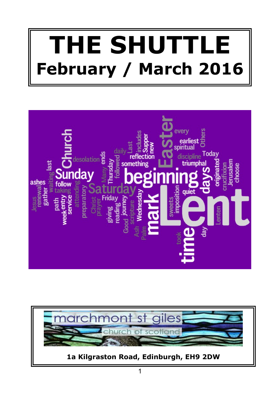# **THE SHUTTLE February / March 2016**



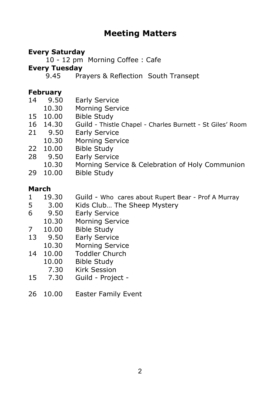# **Meeting Matters**

#### **Every Saturday**

10 - 12 pm Morning Coffee : Cafe

#### **Every Tuesday**

9.45 Prayers & Reflection South Transept

#### **February**

| 14 | 9.50 | Early Service |
|----|------|---------------|

- 10.30 Morning Service
- 15 10.00 Bible Study
- 16 14.30 Guild Thistle Chapel Charles Burnett St Giles' Room<br>21 9.50 Early Service
- 21 9.50 Early Service
- 10.30 Morning Service
- 22 10.00 Bible Study
- 28 9.50 Early Service
- 10.30 Morning Service & Celebration of Holy Communion
- 29 10.00 Bible Study

#### **March**

- 1 19.30 Guild Who cares about Rupert Bear Prof A Murray
- 5 3.00 Kids Club... The Sheep Mystery<br>6 9.50 Early Service
- 6 9.50 Early Service
- 10.30 Morning Service
- 
- 7 10.00 Bible Study<br>13 9.50 Early Servic 13 9.50 Early Service
- 10.30 Morning Service
- 14 10.00 Toddler Church
	- 10.00 Bible Study
		- 7.30 Kirk Session
- 15 7.30 Guild Project -
- 26 10.00 Easter Family Event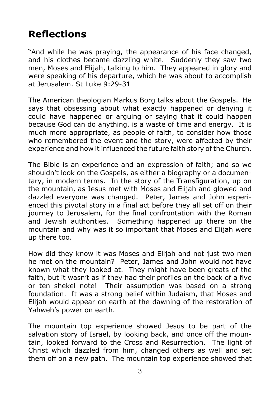# **Reflections**

"And while he was praying, the appearance of his face changed, and his clothes became dazzling white. Suddenly they saw two men, Moses and Elijah, talking to him. They appeared in glory and were speaking of his departure, which he was about to accomplish at Jerusalem. St Luke 9:29-31

The American theologian Markus Borg talks about the Gospels. He says that obsessing about what exactly happened or denying it could have happened or arguing or saying that it could happen because God can do anything, is a waste of time and energy. It is much more appropriate, as people of faith, to consider how those who remembered the event and the story, were affected by their experience and how it influenced the future faith story of the Church.

The Bible is an experience and an expression of faith; and so we shouldn't look on the Gospels, as either a biography or a documentary, in modern terms. In the story of the Transfiguration, up on the mountain, as Jesus met with Moses and Elijah and glowed and dazzled everyone was changed. Peter, James and John experienced this pivotal story in a final act before they all set off on their journey to Jerusalem, for the final confrontation with the Roman and Jewish authorities. Something happened up there on the mountain and why was it so important that Moses and Elijah were up there too.

How did they know it was Moses and Elijah and not just two men he met on the mountain? Peter, James and John would not have known what they looked at. They might have been greats of the faith, but it wasn't as if they had their profiles on the back of a five or ten shekel note! Their assumption was based on a strong foundation. It was a strong belief within Judaism, that Moses and Elijah would appear on earth at the dawning of the restoration of Yahweh's power on earth.

The mountain top experience showed Jesus to be part of the salvation story of Israel, by looking back, and once off the mountain, looked forward to the Cross and Resurrection. The light of Christ which dazzled from him, changed others as well and set them off on a new path. The mountain top experience showed that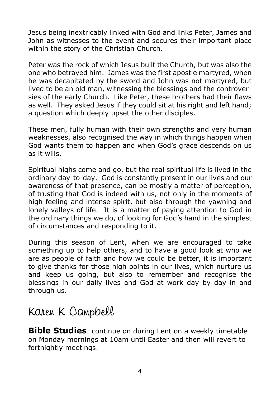Jesus being inextricably linked with God and links Peter, James and John as witnesses to the event and secures their important place within the story of the Christian Church.

Peter was the rock of which Jesus built the Church, but was also the one who betrayed him. James was the first apostle martyred, when he was decapitated by the sword and John was not martyred, but lived to be an old man, witnessing the blessings and the controversies of the early Church. Like Peter, these brothers had their flaws as well. They asked Jesus if they could sit at his right and left hand; a question which deeply upset the other disciples.

These men, fully human with their own strengths and very human weaknesses, also recognised the way in which things happen when God wants them to happen and when God's grace descends on us as it wills.

Spiritual highs come and go, but the real spiritual life is lived in the ordinary day-to-day. God is constantly present in our lives and our awareness of that presence, can be mostly a matter of perception, of trusting that God is indeed with us, not only in the moments of high feeling and intense spirit, but also through the yawning and lonely valleys of life. It is a matter of paying attention to God in the ordinary things we do, of looking for God's hand in the simplest of circumstances and responding to it.

During this season of Lent, when we are encouraged to take something up to help others, and to have a good look at who we are as people of faith and how we could be better, it is important to give thanks for those high points in our lives, which nurture us and keep us going, but also to remember and recognise the blessings in our daily lives and God at work day by day in and through us.

# Karen K Campbell

**Bible Studies** continue on during Lent on a weekly timetable on Monday mornings at 10am until Easter and then will revert to fortnightly meetings.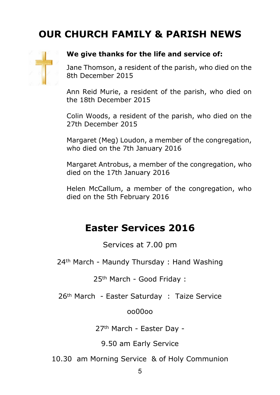# **OUR CHURCH FAMILY & PARISH NEWS**



#### **We give thanks for the life and service of:**

Jane Thomson, a resident of the parish, who died on the 8th December 2015

Ann Reid Murie, a resident of the parish, who died on the 18th December 2015

Colin Woods, a resident of the parish, who died on the 27th December 2015

Margaret (Meg) Loudon, a member of the congregation, who died on the 7th January 2016

Margaret Antrobus, a member of the congregation, who died on the 17th January 2016

Helen McCallum, a member of the congregation, who died on the 5th February 2016

# **Easter Services 2016**

Services at 7.00 pm

24th March - Maundy Thursday : Hand Washing

25th March - Good Friday :

26<sup>th</sup> March - Easter Saturday : Taize Service

oo00oo

27th March - Easter Day -

9.50 am Early Service

10.30 am Morning Service & of Holy Communion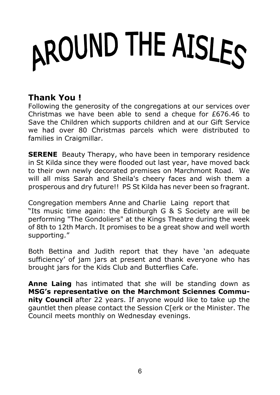# AROUND THE AISLES

# **Thank You !**

Following the generosity of the congregations at our services over Christmas we have been able to send a cheque for  $£676.46$  to Save the Children which supports children and at our Gift Service we had over 80 Christmas parcels which were distributed to families in Craigmillar.

**SERENE** Beauty Therapy, who have been in temporary residence in St Kilda since they were flooded out last year, have moved back to their own newly decorated premises on Marchmont Road. We will all miss Sarah and Sheila's cheery faces and wish them a prosperous and dry future!! PS St Kilda has never been so fragrant.

Congregation members Anne and Charlie Laing report that "Its music time again: the Edinburgh G & S Society are will be performing "The Gondoliers" at the Kings Theatre during the week of 8th to 12th March. It promises to be a great show and well worth supporting."

Both Bettina and Judith report that they have 'an adequate sufficiency' of jam jars at present and thank everyone who has brought jars for the Kids Club and Butterflies Cafe.

**Anne Laing** has intimated that she will be standing down as **MSG's representative on the Marchmont Sciennes Community Council** after 22 years. If anyone would like to take up the gauntlet then please contact the Session C[erk or the Minister. The Council meets monthly on Wednesday evenings.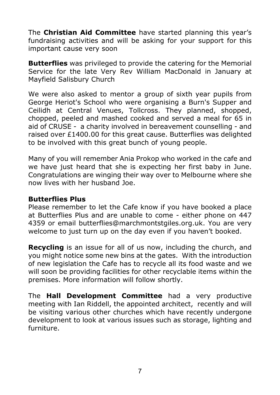The **Christian Aid Committee** have started planning this year's fundraising activities and will be asking for your support for this important cause very soon

**Butterflies** was privileged to provide the catering for the Memorial Service for the late Very Rev William MacDonald in January at Mayfield Salisbury Church

We were also asked to mentor a group of sixth year pupils from George Heriot's School who were organising a Burn's Supper and Ceilidh at Central Venues, Tollcross. They planned, shopped, chopped, peeled and mashed cooked and served a meal for 65 in aid of CRUSE - a charity involved in bereavement counselling - and raised over  $£1400.00$  for this great cause. Butterflies was delighted to be involved with this great bunch of young people.

Many of you will remember Ania Prokop who worked in the cafe and we have just heard that she is expecting her first baby in June. Congratulations are winging their way over to Melbourne where she now lives with her husband Joe.

#### **Butterflies Plus**

Please remember to let the Cafe know if you have booked a place at Butterflies Plus and are unable to come - either phone on 447 4359 or email butterflies@marchmontstgiles.org.uk. You are very welcome to just turn up on the day even if you haven't booked.

**Recycling** is an issue for all of us now, including the church, and you might notice some new bins at the gates. With the introduction of new legislation the Cafe has to recycle all its food waste and we will soon be providing facilities for other recyclable items within the premises. More information will follow shortly.

The **Hall Development Committee** had a very productive meeting with Ian Riddell, the appointed architect, recently and will be visiting various other churches which have recently undergone development to look at various issues such as storage, lighting and furniture.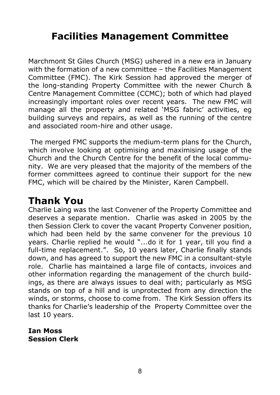# **Facilities Management Committee**

Marchmont St Giles Church (MSG) ushered in a new era in January with the formation of a new committee – the Facilities Management Committee (FMC). The Kirk Session had approved the merger of the long-standing Property Committee with the newer Church & Centre Management Committee (CCMC); both of which had played increasingly important roles over recent years. The new FMC will manage all the property and related 'MSG fabric' activities, eg building surveys and repairs, as well as the running of the centre and associated room-hire and other usage.

 The merged FMC supports the medium-term plans for the Church, which involve looking at optimising and maximising usage of the Church and the Church Centre for the benefit of the local community. We are very pleased that the majority of the members of the former committees agreed to continue their support for the new FMC, which will be chaired by the Minister, Karen Campbell.

# **Thank You**

Charlie Laing was the last Convener of the Property Committee and deserves a separate mention. Charlie was asked in 2005 by the then Session Clerk to cover the vacant Property Convener position, which had been held by the same convener for the previous 10 years. Charlie replied he would "...do it for 1 year, till you find a full-time replacement.". So, 10 years later, Charlie finally stands down, and has agreed to support the new FMC in a consultant-style role. Charlie has maintained a large file of contacts, invoices and other information regarding the management of the church buildings, as there are always issues to deal with; particularly as MSG stands on top of a hill and is unprotected from any direction the winds, or storms, choose to come from. The Kirk Session offers its thanks for Charlie's leadership of the Property Committee over the last 10 years.

**Ian Moss Session Clerk**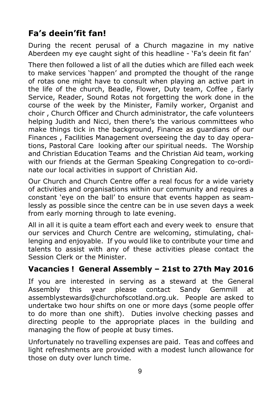# **Fa's deein'fit fan!**

During the recent perusal of a Church magazine in my native Aberdeen my eye caught sight of this headline - 'Fa's deein fit fan'

There then followed a list of all the duties which are filled each week to make services 'happen' and prompted the thought of the range of rotas one might have to consult when playing an active part in the life of the church, Beadle, Flower, Duty team, Coffee , Early Service, Reader, Sound Rotas not forgetting the work done in the course of the week by the Minister, Family worker, Organist and choir , Church Officer and Church administrator, the cafe volunteers helping Judith and Nicci, then there's the various committees who make things tick in the background, Finance as guardians of our Finances , Facilities Management overseeing the day to day operations, Pastoral Care looking after our spiritual needs. The Worship and Christian Education Teams and the Christian Aid team, working with our friends at the German Speaking Congregation to co-ordinate our local activities in support of Christian Aid.

Our Church and Church Centre offer a real focus for a wide variety of activities and organisations within our community and requires a constant 'eye on the ball' to ensure that events happen as seamlessly as possible since the centre can be in use seven days a week from early morning through to late evening.

All in all it is quite a team effort each and every week to ensure that our services and Church Centre are welcoming, stimulating, challenging and enjoyable. If you would like to contribute your time and talents to assist with any of these activities please contact the Session Clerk or the Minister.

### **Vacancies ! General Assembly – 21st to 27th May 2016**

If you are interested in serving as a steward at the General Assembly this year please contact Sandy Gemmill at assemblystewards@churchofscotland.org.uk. People are asked to undertake two hour shifts on one or more days (some people offer to do more than one shift). Duties involve checking passes and directing people to the appropriate places in the building and managing the flow of people at busy times.

Unfortunately no travelling expenses are paid. Teas and coffees and light refreshments are provided with a modest lunch allowance for those on duty over lunch time.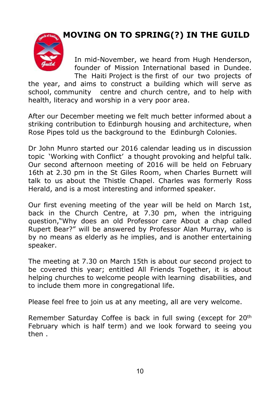**MOVING ON TO SPRING(?) IN THE GUILD**



 In mid-November, we heard from Hugh Henderson, founder of Mission International based in Dundee. The Haiti Project is the first of our two projects of

the year, and aims to construct a building which will serve as school, community centre and church centre, and to help with health, literacy and worship in a very poor area.

After our December meeting we felt much better informed about a striking contribution to Edinburgh housing and architecture, when Rose Pipes told us the background to the Edinburgh Colonies.

Dr John Munro started our 2016 calendar leading us in discussion topic 'Working with Conflict' a thought provoking and helpful talk. Our second afternoon meeting of 2016 will be held on February 16th at 2.30 pm in the St Giles Room, when Charles Burnett will talk to us about the Thistle Chapel. Charles was formerly Ross Herald, and is a most interesting and informed speaker.

Our first evening meeting of the year will be held on March 1st, back in the Church Centre, at 7.30 pm, when the intriguing question,"Why does an old Professor care About a chap called Rupert Bear?" will be answered by Professor Alan Murray, who is by no means as elderly as he implies, and is another entertaining speaker.

The meeting at 7.30 on March 15th is about our second project to be covered this year; entitled All Friends Together, it is about helping churches to welcome people with learning disabilities, and to include them more in congregational life.

Please feel free to join us at any meeting, all are very welcome.

Remember Saturday Coffee is back in full swing (except for 20th February which is half term) and we look forward to seeing you then .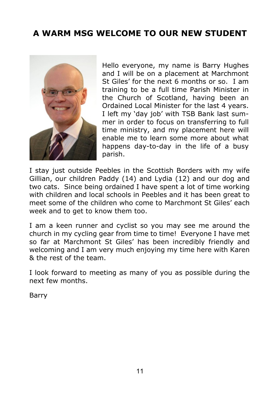# **A WARM MSG WELCOME TO OUR NEW STUDENT**



Hello everyone, my name is Barry Hughes and I will be on a placement at Marchmont St Giles' for the next 6 months or so. I am training to be a full time Parish Minister in the Church of Scotland, having been an Ordained Local Minister for the last 4 years. I left my 'day job' with TSB Bank last summer in order to focus on transferring to full time ministry, and my placement here will enable me to learn some more about what happens day-to-day in the life of a busy parish.

I stay just outside Peebles in the Scottish Borders with my wife Gillian, our children Paddy (14) and Lydia (12) and our dog and two cats. Since being ordained I have spent a lot of time working with children and local schools in Peebles and it has been great to meet some of the children who come to Marchmont St Giles' each week and to get to know them too.

I am a keen runner and cyclist so you may see me around the church in my cycling gear from time to time! Everyone I have met so far at Marchmont St Giles' has been incredibly friendly and welcoming and I am very much enjoying my time here with Karen & the rest of the team.

I look forward to meeting as many of you as possible during the next few months.

Barry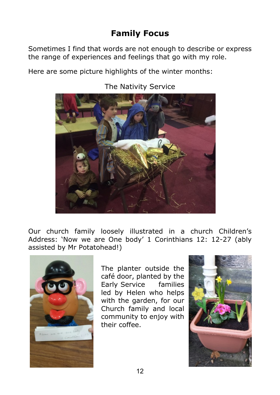# **Family Focus**

Sometimes I find that words are not enough to describe or express the range of experiences and feelings that go with my role.

Here are some picture highlights of the winter months:



The Nativity Service

Our church family loosely illustrated in a church Children's Address: 'Now we are One body' 1 Corinthians 12: 12-27 (ably assisted by Mr Potatohead!)



The planter outside the café door, planted by the Early Service families led by Helen who helps with the garden, for our Church family and local community to enjoy with their coffee.

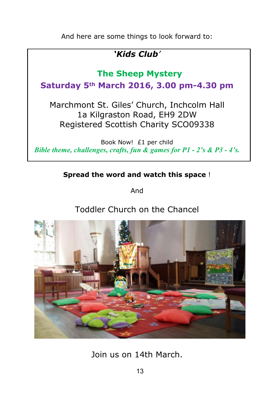And here are some things to look forward to:

# *'Kids Club'*

### **The Sheep Mystery**

**Saturday 5th March 2016, 3.00 pm-4.30 pm**

Marchmont St. Giles' Church, Inchcolm Hall 1a Kilgraston Road, EH9 2DW Registered Scottish Charity SCO09338

Book Now! £1 per child *Bible theme, challenges, crafts, fun & games for P1 - 2's & P3 - 4's.*

#### **Spread the word and watch this space** !

And

### Toddler Church on the Chancel



Join us on 14th March.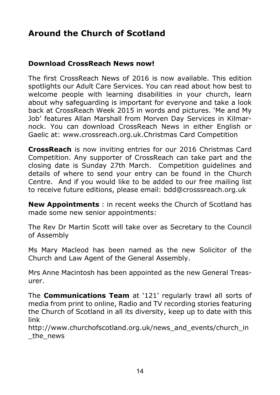# **Around the Church of Scotland**

#### **Download CrossReach News now!**

The first CrossReach News of 2016 is now available. This edition spotlights our Adult Care Services. You can read about how best to welcome people with learning disabilities in your church, learn about why safeguarding is important for everyone and take a look back at CrossReach Week 2015 in words and pictures. 'Me and My Job' features Allan Marshall from Morven Day Services in Kilmarnock. You can download CrossReach News in either English or Gaelic at: www.crossreach.org.uk.Christmas Card Competition

**CrossReach** is now inviting entries for our 2016 Christmas Card Competition. Any supporter of CrossReach can take part and the closing date is Sunday 27th March. Competition guidelines and details of where to send your entry can be found in the Church Centre. And if you would like to be added to our free mailing list to receive future editions, please email: bdd@crosssreach.org.uk

**New Appointments** : in recent weeks the Church of Scotland has made some new senior appointments:

The Rev Dr Martin Scott will take over as Secretary to the Council of Assembly

Ms Mary Macleod has been named as the new Solicitor of the Church and Law Agent of the General Assembly.

Mrs Anne Macintosh has been appointed as the new General Treasurer.

The **Communications Team** at '121' regularly trawl all sorts of media from print to online, Radio and TV recording stories featuring the Church of Scotland in all its diversity, keep up to date with this link

http://www.churchofscotland.org.uk/news\_and\_events/church\_in \_the\_news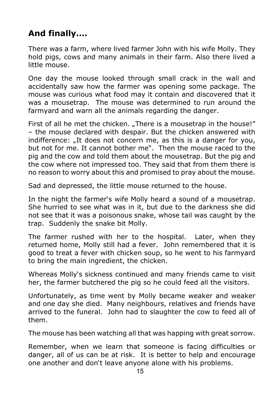# **And finally….**

There was a farm, where lived farmer John with his wife Molly. They hold pigs, cows and many animals in their farm. Also there lived a little mouse.

One day the mouse looked through small crack in the wall and accidentally saw how the farmer was opening some package. The mouse was curious what food may it contain and discovered that it was a mousetrap. The mouse was determined to run around the farmyard and warn all the animals regarding the danger.

First of all he met the chicken. "There is a mousetrap in the house!" – the mouse declared with despair. But the chicken answered with indifference: "It does not concern me, as this is a danger for you, but not for me. It cannot bother me". Then the mouse raced to the pig and the cow and told them about the mousetrap. But the pig and the cow where not impressed too. They said that from them there is no reason to worry about this and promised to pray about the mouse.

Sad and depressed, the little mouse returned to the house.

In the night the farmer's wife Molly heard a sound of a mousetrap. She hurried to see what was in it, but due to the darkness she did not see that it was a poisonous snake, whose tail was caught by the trap. Suddenly the snake bit Molly.

The farmer rushed with her to the hospital. Later, when they returned home, Molly still had a fever. John remembered that it is good to treat a fever with chicken soup, so he went to his farmyard to bring the main ingredient, the chicken.

Whereas Molly's sickness continued and many friends came to visit her, the farmer butchered the pig so he could feed all the visitors.

Unfortunately, as time went by Molly became weaker and weaker and one day she died. Many neighbours, relatives and friends have arrived to the funeral. John had to slaughter the cow to feed all of them.

The mouse has been watching all that was happing with great sorrow.

Remember, when we learn that someone is facing difficulties or danger, all of us can be at risk. It is better to help and encourage one another and don't leave anyone alone with his problems.